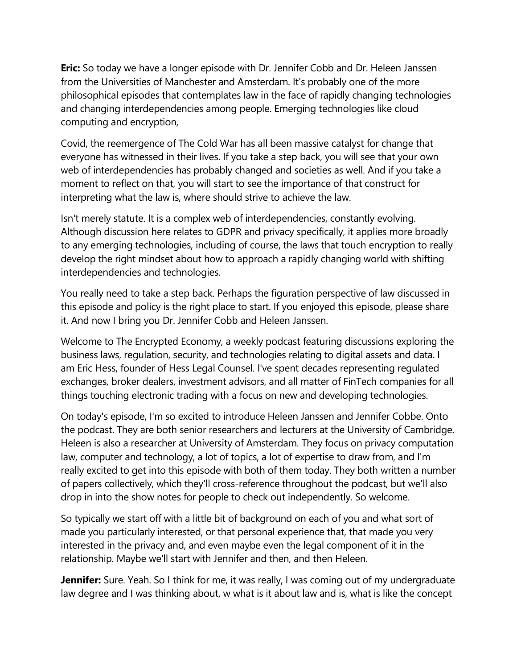**Eric:** So today we have a longer episode with Dr. Jennifer Cobb and Dr. Heleen Janssen from the Universities of Manchester and Amsterdam. It's probably one of the more philosophical episodes that contemplates law in the face of rapidly changing technologies and changing interdependencies among people. Emerging technologies like cloud computing and encryption,

Covid, the reemergence of The Cold War has all been massive catalyst for change that everyone has witnessed in their lives. If you take a step back, you will see that your own web of interdependencies has probably changed and societies as well. And if you take a moment to reflect on that, you will start to see the importance of that construct for interpreting what the law is, where should strive to achieve the law.

Isn't merely statute. It is a complex web of interdependencies, constantly evolving. Although discussion here relates to GDPR and privacy specifically, it applies more broadly to any emerging technologies, including of course, the laws that touch encryption to really develop the right mindset about how to approach a rapidly changing world with shifting interdependencies and technologies.

You really need to take a step back. Perhaps the figuration perspective of law discussed in this episode and policy is the right place to start. If you enjoyed this episode, please share it. And now I bring you Dr. Jennifer Cobb and Heleen Janssen.

Welcome to The Encrypted Economy, a weekly podcast featuring discussions exploring the business laws, regulation, security, and technologies relating to digital assets and data. I am Eric Hess, founder of Hess Legal Counsel. I've spent decades representing regulated exchanges, broker dealers, investment advisors, and all matter of FinTech companies for all things touching electronic trading with a focus on new and developing technologies.

On today's episode, I'm so excited to introduce Heleen Janssen and Jennifer Cobbe. Onto the podcast. They are both senior researchers and lecturers at the University of Cambridge. Heleen is also a researcher at University of Amsterdam. They focus on privacy computation law, computer and technology, a lot of topics, a lot of expertise to draw from, and I'm really excited to get into this episode with both of them today. They both written a number of papers collectively, which they'll cross-reference throughout the podcast, but we'll also drop in into the show notes for people to check out independently. So welcome.

So typically we start off with a little bit of background on each of you and what sort of made you particularly interested, or that personal experience that, that made you very interested in the privacy and, and even maybe even the legal component of it in the relationship. Maybe we'll start with Jennifer and then, and then Heleen.

**Jennifer:** Sure. Yeah. So I think for me, it was really, I was coming out of my undergraduate law degree and I was thinking about, w what is it about law and is, what is like the concept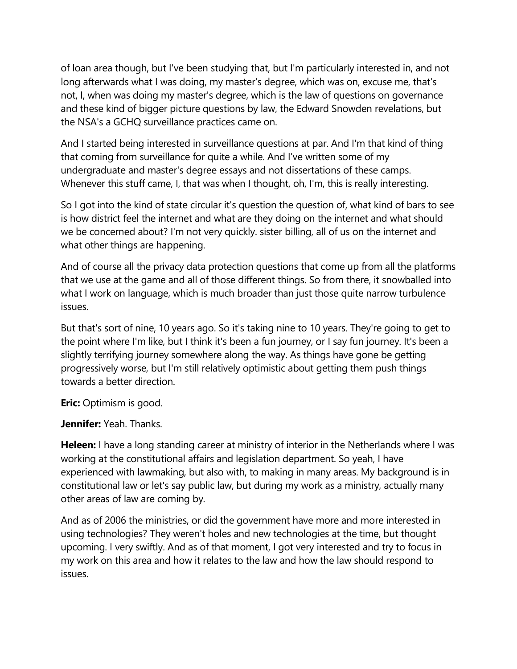of loan area though, but I've been studying that, but I'm particularly interested in, and not long afterwards what I was doing, my master's degree, which was on, excuse me, that's not, I, when was doing my master's degree, which is the law of questions on governance and these kind of bigger picture questions by law, the Edward Snowden revelations, but the NSA's a GCHQ surveillance practices came on.

And I started being interested in surveillance questions at par. And I'm that kind of thing that coming from surveillance for quite a while. And I've written some of my undergraduate and master's degree essays and not dissertations of these camps. Whenever this stuff came, I, that was when I thought, oh, I'm, this is really interesting.

So I got into the kind of state circular it's question the question of, what kind of bars to see is how district feel the internet and what are they doing on the internet and what should we be concerned about? I'm not very quickly. sister billing, all of us on the internet and what other things are happening.

And of course all the privacy data protection questions that come up from all the platforms that we use at the game and all of those different things. So from there, it snowballed into what I work on language, which is much broader than just those quite narrow turbulence issues.

But that's sort of nine, 10 years ago. So it's taking nine to 10 years. They're going to get to the point where I'm like, but I think it's been a fun journey, or I say fun journey. It's been a slightly terrifying journey somewhere along the way. As things have gone be getting progressively worse, but I'm still relatively optimistic about getting them push things towards a better direction.

**Eric:** Optimism is good.

**Jennifer:** Yeah. Thanks.

**Heleen:** I have a long standing career at ministry of interior in the Netherlands where I was working at the constitutional affairs and legislation department. So yeah, I have experienced with lawmaking, but also with, to making in many areas. My background is in constitutional law or let's say public law, but during my work as a ministry, actually many other areas of law are coming by.

And as of 2006 the ministries, or did the government have more and more interested in using technologies? They weren't holes and new technologies at the time, but thought upcoming. I very swiftly. And as of that moment, I got very interested and try to focus in my work on this area and how it relates to the law and how the law should respond to issues.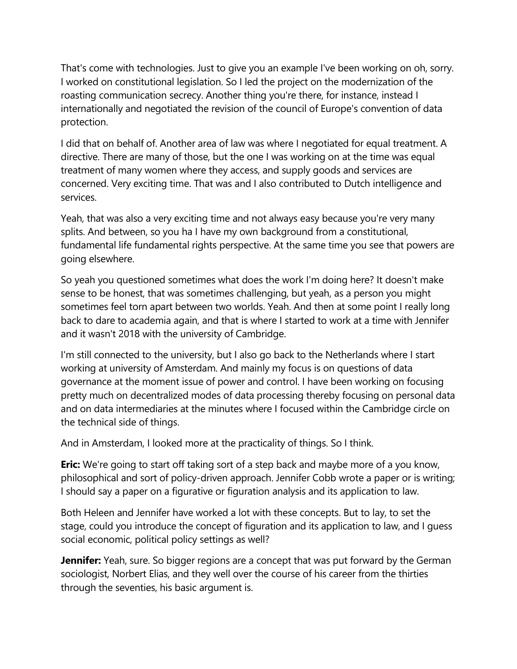That's come with technologies. Just to give you an example I've been working on oh, sorry. I worked on constitutional legislation. So I led the project on the modernization of the roasting communication secrecy. Another thing you're there, for instance, instead I internationally and negotiated the revision of the council of Europe's convention of data protection.

I did that on behalf of. Another area of law was where I negotiated for equal treatment. A directive. There are many of those, but the one I was working on at the time was equal treatment of many women where they access, and supply goods and services are concerned. Very exciting time. That was and I also contributed to Dutch intelligence and services.

Yeah, that was also a very exciting time and not always easy because you're very many splits. And between, so you ha I have my own background from a constitutional, fundamental life fundamental rights perspective. At the same time you see that powers are going elsewhere.

So yeah you questioned sometimes what does the work I'm doing here? It doesn't make sense to be honest, that was sometimes challenging, but yeah, as a person you might sometimes feel torn apart between two worlds. Yeah. And then at some point I really long back to dare to academia again, and that is where I started to work at a time with Jennifer and it wasn't 2018 with the university of Cambridge.

I'm still connected to the university, but I also go back to the Netherlands where I start working at university of Amsterdam. And mainly my focus is on questions of data governance at the moment issue of power and control. I have been working on focusing pretty much on decentralized modes of data processing thereby focusing on personal data and on data intermediaries at the minutes where I focused within the Cambridge circle on the technical side of things.

And in Amsterdam, I looked more at the practicality of things. So I think.

**Eric:** We're going to start off taking sort of a step back and maybe more of a you know, philosophical and sort of policy-driven approach. Jennifer Cobb wrote a paper or is writing; I should say a paper on a figurative or figuration analysis and its application to law.

Both Heleen and Jennifer have worked a lot with these concepts. But to lay, to set the stage, could you introduce the concept of figuration and its application to law, and I guess social economic, political policy settings as well?

**Jennifer:** Yeah, sure. So bigger regions are a concept that was put forward by the German sociologist, Norbert Elias, and they well over the course of his career from the thirties through the seventies, his basic argument is.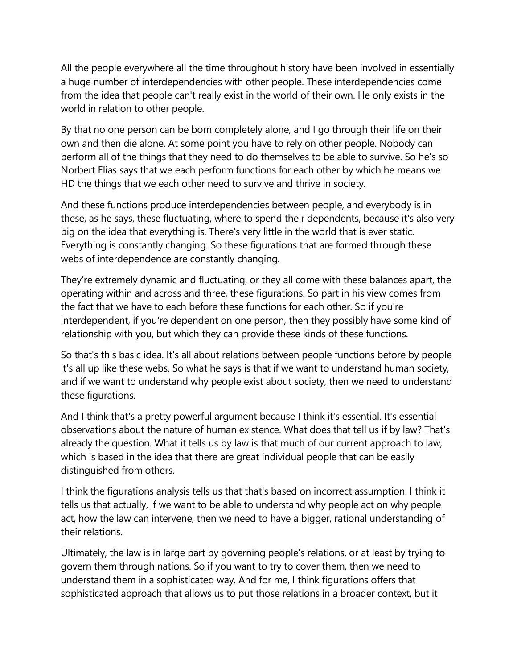All the people everywhere all the time throughout history have been involved in essentially a huge number of interdependencies with other people. These interdependencies come from the idea that people can't really exist in the world of their own. He only exists in the world in relation to other people.

By that no one person can be born completely alone, and I go through their life on their own and then die alone. At some point you have to rely on other people. Nobody can perform all of the things that they need to do themselves to be able to survive. So he's so Norbert Elias says that we each perform functions for each other by which he means we HD the things that we each other need to survive and thrive in society.

And these functions produce interdependencies between people, and everybody is in these, as he says, these fluctuating, where to spend their dependents, because it's also very big on the idea that everything is. There's very little in the world that is ever static. Everything is constantly changing. So these figurations that are formed through these webs of interdependence are constantly changing.

They're extremely dynamic and fluctuating, or they all come with these balances apart, the operating within and across and three, these figurations. So part in his view comes from the fact that we have to each before these functions for each other. So if you're interdependent, if you're dependent on one person, then they possibly have some kind of relationship with you, but which they can provide these kinds of these functions.

So that's this basic idea. It's all about relations between people functions before by people it's all up like these webs. So what he says is that if we want to understand human society, and if we want to understand why people exist about society, then we need to understand these figurations.

And I think that's a pretty powerful argument because I think it's essential. It's essential observations about the nature of human existence. What does that tell us if by law? That's already the question. What it tells us by law is that much of our current approach to law, which is based in the idea that there are great individual people that can be easily distinguished from others.

I think the figurations analysis tells us that that's based on incorrect assumption. I think it tells us that actually, if we want to be able to understand why people act on why people act, how the law can intervene, then we need to have a bigger, rational understanding of their relations.

Ultimately, the law is in large part by governing people's relations, or at least by trying to govern them through nations. So if you want to try to cover them, then we need to understand them in a sophisticated way. And for me, I think figurations offers that sophisticated approach that allows us to put those relations in a broader context, but it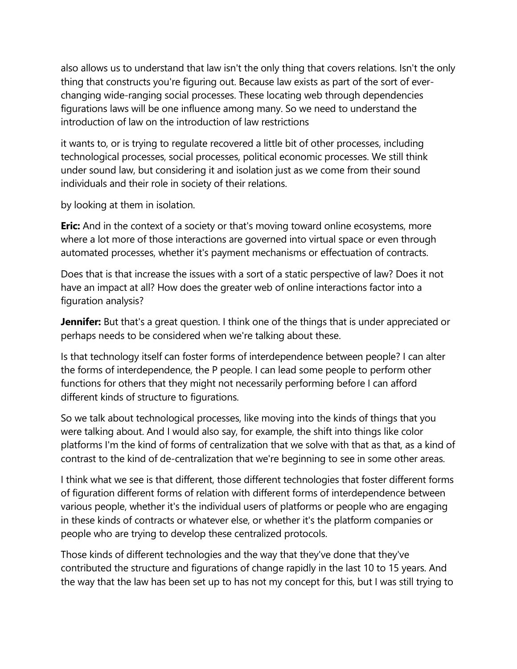also allows us to understand that law isn't the only thing that covers relations. Isn't the only thing that constructs you're figuring out. Because law exists as part of the sort of everchanging wide-ranging social processes. These locating web through dependencies figurations laws will be one influence among many. So we need to understand the introduction of law on the introduction of law restrictions

it wants to, or is trying to regulate recovered a little bit of other processes, including technological processes, social processes, political economic processes. We still think under sound law, but considering it and isolation just as we come from their sound individuals and their role in society of their relations.

by looking at them in isolation.

**Eric:** And in the context of a society or that's moving toward online ecosystems, more where a lot more of those interactions are governed into virtual space or even through automated processes, whether it's payment mechanisms or effectuation of contracts.

Does that is that increase the issues with a sort of a static perspective of law? Does it not have an impact at all? How does the greater web of online interactions factor into a figuration analysis?

**Jennifer:** But that's a great question. I think one of the things that is under appreciated or perhaps needs to be considered when we're talking about these.

Is that technology itself can foster forms of interdependence between people? I can alter the forms of interdependence, the P people. I can lead some people to perform other functions for others that they might not necessarily performing before I can afford different kinds of structure to figurations.

So we talk about technological processes, like moving into the kinds of things that you were talking about. And I would also say, for example, the shift into things like color platforms I'm the kind of forms of centralization that we solve with that as that, as a kind of contrast to the kind of de-centralization that we're beginning to see in some other areas.

I think what we see is that different, those different technologies that foster different forms of figuration different forms of relation with different forms of interdependence between various people, whether it's the individual users of platforms or people who are engaging in these kinds of contracts or whatever else, or whether it's the platform companies or people who are trying to develop these centralized protocols.

Those kinds of different technologies and the way that they've done that they've contributed the structure and figurations of change rapidly in the last 10 to 15 years. And the way that the law has been set up to has not my concept for this, but I was still trying to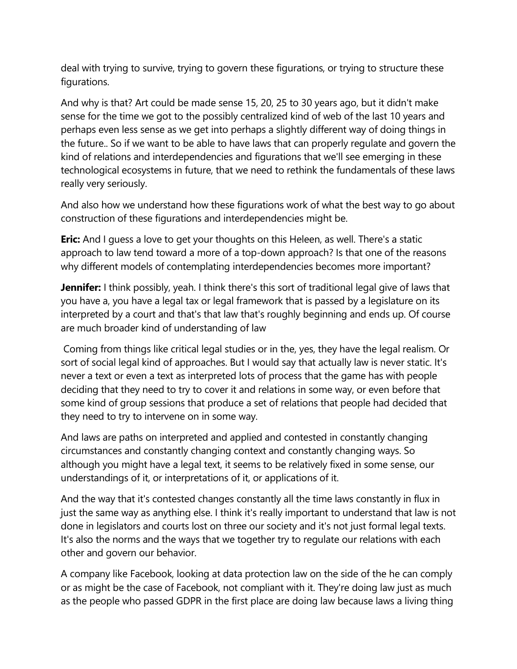deal with trying to survive, trying to govern these figurations, or trying to structure these figurations.

And why is that? Art could be made sense 15, 20, 25 to 30 years ago, but it didn't make sense for the time we got to the possibly centralized kind of web of the last 10 years and perhaps even less sense as we get into perhaps a slightly different way of doing things in the future.. So if we want to be able to have laws that can properly regulate and govern the kind of relations and interdependencies and figurations that we'll see emerging in these technological ecosystems in future, that we need to rethink the fundamentals of these laws really very seriously.

And also how we understand how these figurations work of what the best way to go about construction of these figurations and interdependencies might be.

**Eric:** And I guess a love to get your thoughts on this Heleen, as well. There's a static approach to law tend toward a more of a top-down approach? Is that one of the reasons why different models of contemplating interdependencies becomes more important?

**Jennifer:** I think possibly, yeah. I think there's this sort of traditional legal give of laws that you have a, you have a legal tax or legal framework that is passed by a legislature on its interpreted by a court and that's that law that's roughly beginning and ends up. Of course are much broader kind of understanding of law

Coming from things like critical legal studies or in the, yes, they have the legal realism. Or sort of social legal kind of approaches. But I would say that actually law is never static. It's never a text or even a text as interpreted lots of process that the game has with people deciding that they need to try to cover it and relations in some way, or even before that some kind of group sessions that produce a set of relations that people had decided that they need to try to intervene on in some way.

And laws are paths on interpreted and applied and contested in constantly changing circumstances and constantly changing context and constantly changing ways. So although you might have a legal text, it seems to be relatively fixed in some sense, our understandings of it, or interpretations of it, or applications of it.

And the way that it's contested changes constantly all the time laws constantly in flux in just the same way as anything else. I think it's really important to understand that law is not done in legislators and courts lost on three our society and it's not just formal legal texts. It's also the norms and the ways that we together try to regulate our relations with each other and govern our behavior.

A company like Facebook, looking at data protection law on the side of the he can comply or as might be the case of Facebook, not compliant with it. They're doing law just as much as the people who passed GDPR in the first place are doing law because laws a living thing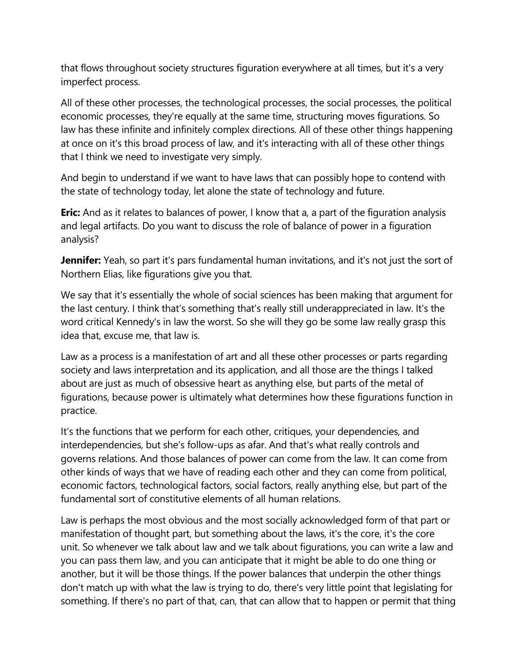that flows throughout society structures figuration everywhere at all times, but it's a very imperfect process.

All of these other processes, the technological processes, the social processes, the political economic processes, they're equally at the same time, structuring moves figurations. So law has these infinite and infinitely complex directions. All of these other things happening at once on it's this broad process of law, and it's interacting with all of these other things that I think we need to investigate very simply.

And begin to understand if we want to have laws that can possibly hope to contend with the state of technology today, let alone the state of technology and future.

**Eric:** And as it relates to balances of power, I know that a, a part of the figuration analysis and legal artifacts. Do you want to discuss the role of balance of power in a figuration analysis?

**Jennifer:** Yeah, so part it's pars fundamental human invitations, and it's not just the sort of Northern Elias, like figurations give you that.

We say that it's essentially the whole of social sciences has been making that argument for the last century. I think that's something that's really still underappreciated in law. It's the word critical Kennedy's in law the worst. So she will they go be some law really grasp this idea that, excuse me, that law is.

Law as a process is a manifestation of art and all these other processes or parts regarding society and laws interpretation and its application, and all those are the things I talked about are just as much of obsessive heart as anything else, but parts of the metal of figurations, because power is ultimately what determines how these figurations function in practice.

It's the functions that we perform for each other, critiques, your dependencies, and interdependencies, but she's follow-ups as afar. And that's what really controls and governs relations. And those balances of power can come from the law. It can come from other kinds of ways that we have of reading each other and they can come from political, economic factors, technological factors, social factors, really anything else, but part of the fundamental sort of constitutive elements of all human relations.

Law is perhaps the most obvious and the most socially acknowledged form of that part or manifestation of thought part, but something about the laws, it's the core, it's the core unit. So whenever we talk about law and we talk about figurations, you can write a law and you can pass them law, and you can anticipate that it might be able to do one thing or another, but it will be those things. If the power balances that underpin the other things don't match up with what the law is trying to do, there's very little point that legislating for something. If there's no part of that, can, that can allow that to happen or permit that thing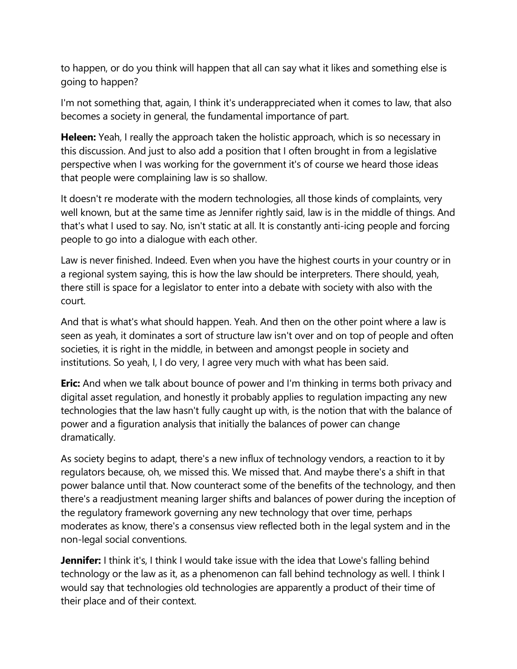to happen, or do you think will happen that all can say what it likes and something else is going to happen?

I'm not something that, again, I think it's underappreciated when it comes to law, that also becomes a society in general, the fundamental importance of part.

**Heleen:** Yeah, I really the approach taken the holistic approach, which is so necessary in this discussion. And just to also add a position that I often brought in from a legislative perspective when I was working for the government it's of course we heard those ideas that people were complaining law is so shallow.

It doesn't re moderate with the modern technologies, all those kinds of complaints, very well known, but at the same time as Jennifer rightly said, law is in the middle of things. And that's what I used to say. No, isn't static at all. It is constantly anti-icing people and forcing people to go into a dialogue with each other.

Law is never finished. Indeed. Even when you have the highest courts in your country or in a regional system saying, this is how the law should be interpreters. There should, yeah, there still is space for a legislator to enter into a debate with society with also with the court.

And that is what's what should happen. Yeah. And then on the other point where a law is seen as yeah, it dominates a sort of structure law isn't over and on top of people and often societies, it is right in the middle, in between and amongst people in society and institutions. So yeah, I, I do very, I agree very much with what has been said.

**Eric:** And when we talk about bounce of power and I'm thinking in terms both privacy and digital asset regulation, and honestly it probably applies to regulation impacting any new technologies that the law hasn't fully caught up with, is the notion that with the balance of power and a figuration analysis that initially the balances of power can change dramatically.

As society begins to adapt, there's a new influx of technology vendors, a reaction to it by regulators because, oh, we missed this. We missed that. And maybe there's a shift in that power balance until that. Now counteract some of the benefits of the technology, and then there's a readjustment meaning larger shifts and balances of power during the inception of the regulatory framework governing any new technology that over time, perhaps moderates as know, there's a consensus view reflected both in the legal system and in the non-legal social conventions.

**Jennifer:** I think it's, I think I would take issue with the idea that Lowe's falling behind technology or the law as it, as a phenomenon can fall behind technology as well. I think I would say that technologies old technologies are apparently a product of their time of their place and of their context.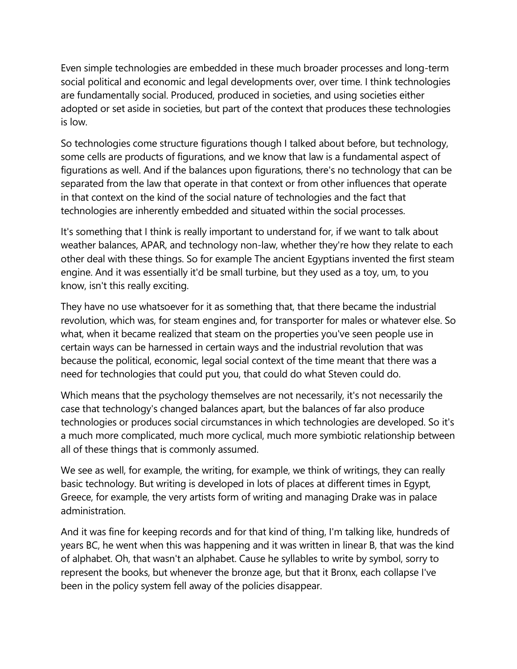Even simple technologies are embedded in these much broader processes and long-term social political and economic and legal developments over, over time. I think technologies are fundamentally social. Produced, produced in societies, and using societies either adopted or set aside in societies, but part of the context that produces these technologies is low.

So technologies come structure figurations though I talked about before, but technology, some cells are products of figurations, and we know that law is a fundamental aspect of figurations as well. And if the balances upon figurations, there's no technology that can be separated from the law that operate in that context or from other influences that operate in that context on the kind of the social nature of technologies and the fact that technologies are inherently embedded and situated within the social processes.

It's something that I think is really important to understand for, if we want to talk about weather balances, APAR, and technology non-law, whether they're how they relate to each other deal with these things. So for example The ancient Egyptians invented the first steam engine. And it was essentially it'd be small turbine, but they used as a toy, um, to you know, isn't this really exciting.

They have no use whatsoever for it as something that, that there became the industrial revolution, which was, for steam engines and, for transporter for males or whatever else. So what, when it became realized that steam on the properties you've seen people use in certain ways can be harnessed in certain ways and the industrial revolution that was because the political, economic, legal social context of the time meant that there was a need for technologies that could put you, that could do what Steven could do.

Which means that the psychology themselves are not necessarily, it's not necessarily the case that technology's changed balances apart, but the balances of far also produce technologies or produces social circumstances in which technologies are developed. So it's a much more complicated, much more cyclical, much more symbiotic relationship between all of these things that is commonly assumed.

We see as well, for example, the writing, for example, we think of writings, they can really basic technology. But writing is developed in lots of places at different times in Egypt, Greece, for example, the very artists form of writing and managing Drake was in palace administration.

And it was fine for keeping records and for that kind of thing, I'm talking like, hundreds of years BC, he went when this was happening and it was written in linear B, that was the kind of alphabet. Oh, that wasn't an alphabet. Cause he syllables to write by symbol, sorry to represent the books, but whenever the bronze age, but that it Bronx, each collapse I've been in the policy system fell away of the policies disappear.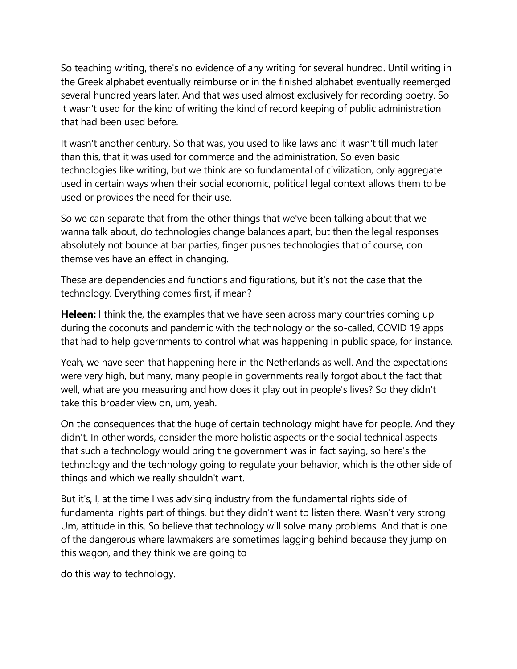So teaching writing, there's no evidence of any writing for several hundred. Until writing in the Greek alphabet eventually reimburse or in the finished alphabet eventually reemerged several hundred years later. And that was used almost exclusively for recording poetry. So it wasn't used for the kind of writing the kind of record keeping of public administration that had been used before.

It wasn't another century. So that was, you used to like laws and it wasn't till much later than this, that it was used for commerce and the administration. So even basic technologies like writing, but we think are so fundamental of civilization, only aggregate used in certain ways when their social economic, political legal context allows them to be used or provides the need for their use.

So we can separate that from the other things that we've been talking about that we wanna talk about, do technologies change balances apart, but then the legal responses absolutely not bounce at bar parties, finger pushes technologies that of course, con themselves have an effect in changing.

These are dependencies and functions and figurations, but it's not the case that the technology. Everything comes first, if mean?

**Heleen:** I think the, the examples that we have seen across many countries coming up during the coconuts and pandemic with the technology or the so-called, COVID 19 apps that had to help governments to control what was happening in public space, for instance.

Yeah, we have seen that happening here in the Netherlands as well. And the expectations were very high, but many, many people in governments really forgot about the fact that well, what are you measuring and how does it play out in people's lives? So they didn't take this broader view on, um, yeah.

On the consequences that the huge of certain technology might have for people. And they didn't. In other words, consider the more holistic aspects or the social technical aspects that such a technology would bring the government was in fact saying, so here's the technology and the technology going to regulate your behavior, which is the other side of things and which we really shouldn't want.

But it's, I, at the time I was advising industry from the fundamental rights side of fundamental rights part of things, but they didn't want to listen there. Wasn't very strong Um, attitude in this. So believe that technology will solve many problems. And that is one of the dangerous where lawmakers are sometimes lagging behind because they jump on this wagon, and they think we are going to

do this way to technology.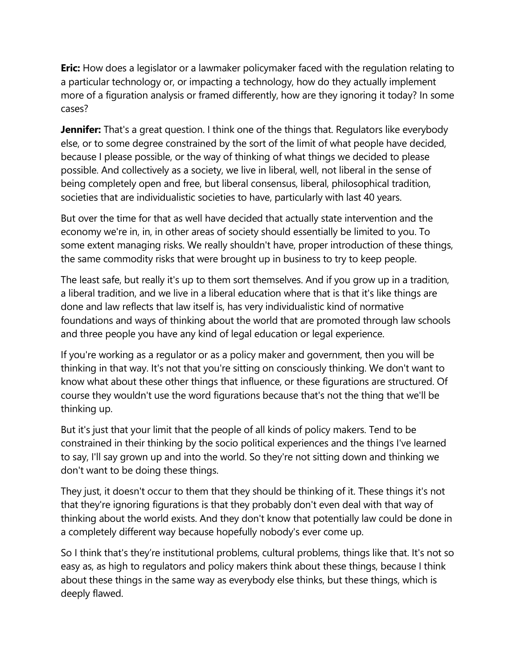**Eric:** How does a legislator or a lawmaker policymaker faced with the regulation relating to a particular technology or, or impacting a technology, how do they actually implement more of a figuration analysis or framed differently, how are they ignoring it today? In some cases?

**Jennifer:** That's a great question. I think one of the things that. Regulators like everybody else, or to some degree constrained by the sort of the limit of what people have decided, because I please possible, or the way of thinking of what things we decided to please possible. And collectively as a society, we live in liberal, well, not liberal in the sense of being completely open and free, but liberal consensus, liberal, philosophical tradition, societies that are individualistic societies to have, particularly with last 40 years.

But over the time for that as well have decided that actually state intervention and the economy we're in, in, in other areas of society should essentially be limited to you. To some extent managing risks. We really shouldn't have, proper introduction of these things, the same commodity risks that were brought up in business to try to keep people.

The least safe, but really it's up to them sort themselves. And if you grow up in a tradition, a liberal tradition, and we live in a liberal education where that is that it's like things are done and law reflects that law itself is, has very individualistic kind of normative foundations and ways of thinking about the world that are promoted through law schools and three people you have any kind of legal education or legal experience.

If you're working as a regulator or as a policy maker and government, then you will be thinking in that way. It's not that you're sitting on consciously thinking. We don't want to know what about these other things that influence, or these figurations are structured. Of course they wouldn't use the word figurations because that's not the thing that we'll be thinking up.

But it's just that your limit that the people of all kinds of policy makers. Tend to be constrained in their thinking by the socio political experiences and the things I've learned to say, I'll say grown up and into the world. So they're not sitting down and thinking we don't want to be doing these things.

They just, it doesn't occur to them that they should be thinking of it. These things it's not that they're ignoring figurations is that they probably don't even deal with that way of thinking about the world exists. And they don't know that potentially law could be done in a completely different way because hopefully nobody's ever come up.

So I think that's they're institutional problems, cultural problems, things like that. It's not so easy as, as high to regulators and policy makers think about these things, because I think about these things in the same way as everybody else thinks, but these things, which is deeply flawed.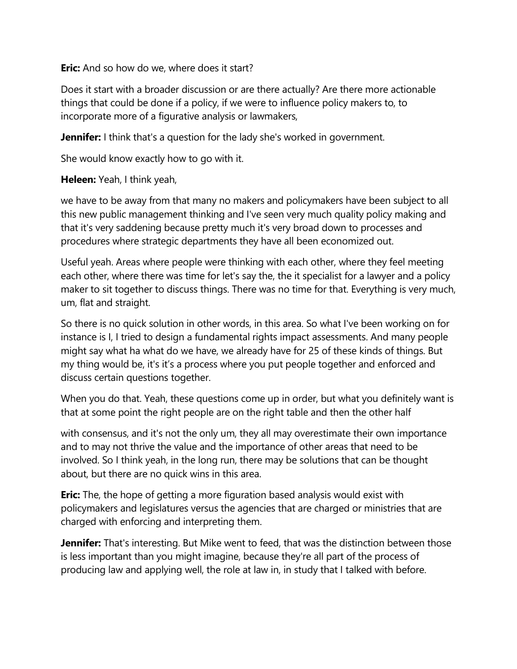**Eric:** And so how do we, where does it start?

Does it start with a broader discussion or are there actually? Are there more actionable things that could be done if a policy, if we were to influence policy makers to, to incorporate more of a figurative analysis or lawmakers,

**Jennifer:** I think that's a question for the lady she's worked in government.

She would know exactly how to go with it.

**Heleen:** Yeah, I think yeah,

we have to be away from that many no makers and policymakers have been subject to all this new public management thinking and I've seen very much quality policy making and that it's very saddening because pretty much it's very broad down to processes and procedures where strategic departments they have all been economized out.

Useful yeah. Areas where people were thinking with each other, where they feel meeting each other, where there was time for let's say the, the it specialist for a lawyer and a policy maker to sit together to discuss things. There was no time for that. Everything is very much, um, flat and straight.

So there is no quick solution in other words, in this area. So what I've been working on for instance is I, I tried to design a fundamental rights impact assessments. And many people might say what ha what do we have, we already have for 25 of these kinds of things. But my thing would be, it's it's a process where you put people together and enforced and discuss certain questions together.

When you do that. Yeah, these questions come up in order, but what you definitely want is that at some point the right people are on the right table and then the other half

with consensus, and it's not the only um, they all may overestimate their own importance and to may not thrive the value and the importance of other areas that need to be involved. So I think yeah, in the long run, there may be solutions that can be thought about, but there are no quick wins in this area.

**Eric:** The, the hope of getting a more figuration based analysis would exist with policymakers and legislatures versus the agencies that are charged or ministries that are charged with enforcing and interpreting them.

**Jennifer:** That's interesting. But Mike went to feed, that was the distinction between those is less important than you might imagine, because they're all part of the process of producing law and applying well, the role at law in, in study that I talked with before.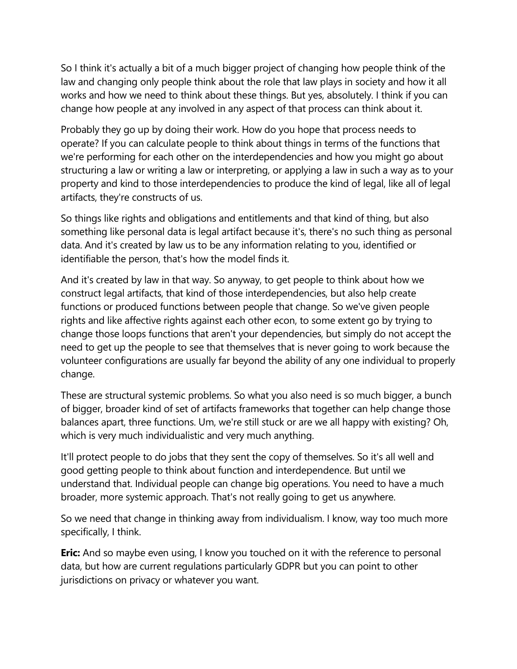So I think it's actually a bit of a much bigger project of changing how people think of the law and changing only people think about the role that law plays in society and how it all works and how we need to think about these things. But yes, absolutely. I think if you can change how people at any involved in any aspect of that process can think about it.

Probably they go up by doing their work. How do you hope that process needs to operate? If you can calculate people to think about things in terms of the functions that we're performing for each other on the interdependencies and how you might go about structuring a law or writing a law or interpreting, or applying a law in such a way as to your property and kind to those interdependencies to produce the kind of legal, like all of legal artifacts, they're constructs of us.

So things like rights and obligations and entitlements and that kind of thing, but also something like personal data is legal artifact because it's, there's no such thing as personal data. And it's created by law us to be any information relating to you, identified or identifiable the person, that's how the model finds it.

And it's created by law in that way. So anyway, to get people to think about how we construct legal artifacts, that kind of those interdependencies, but also help create functions or produced functions between people that change. So we've given people rights and like affective rights against each other econ, to some extent go by trying to change those loops functions that aren't your dependencies, but simply do not accept the need to get up the people to see that themselves that is never going to work because the volunteer configurations are usually far beyond the ability of any one individual to properly change.

These are structural systemic problems. So what you also need is so much bigger, a bunch of bigger, broader kind of set of artifacts frameworks that together can help change those balances apart, three functions. Um, we're still stuck or are we all happy with existing? Oh, which is very much individualistic and very much anything.

It'll protect people to do jobs that they sent the copy of themselves. So it's all well and good getting people to think about function and interdependence. But until we understand that. Individual people can change big operations. You need to have a much broader, more systemic approach. That's not really going to get us anywhere.

So we need that change in thinking away from individualism. I know, way too much more specifically, I think.

**Eric:** And so maybe even using, I know you touched on it with the reference to personal data, but how are current regulations particularly GDPR but you can point to other jurisdictions on privacy or whatever you want.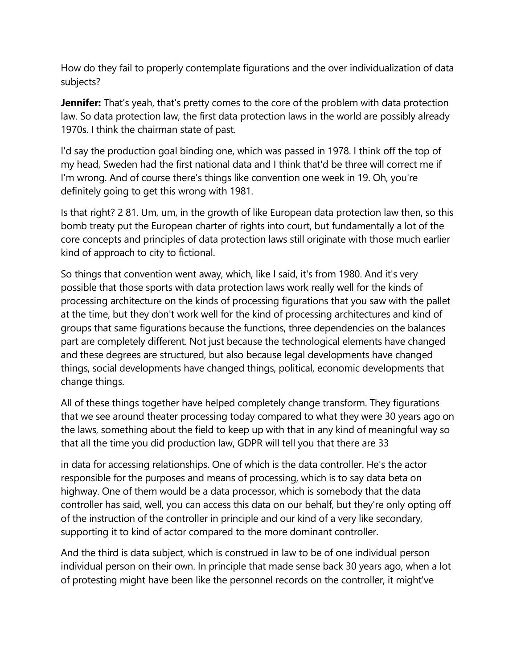How do they fail to properly contemplate figurations and the over individualization of data subjects?

**Jennifer:** That's yeah, that's pretty comes to the core of the problem with data protection law. So data protection law, the first data protection laws in the world are possibly already 1970s. I think the chairman state of past.

I'd say the production goal binding one, which was passed in 1978. I think off the top of my head, Sweden had the first national data and I think that'd be three will correct me if I'm wrong. And of course there's things like convention one week in 19. Oh, you're definitely going to get this wrong with 1981.

Is that right? 2 81. Um, um, in the growth of like European data protection law then, so this bomb treaty put the European charter of rights into court, but fundamentally a lot of the core concepts and principles of data protection laws still originate with those much earlier kind of approach to city to fictional.

So things that convention went away, which, like I said, it's from 1980. And it's very possible that those sports with data protection laws work really well for the kinds of processing architecture on the kinds of processing figurations that you saw with the pallet at the time, but they don't work well for the kind of processing architectures and kind of groups that same figurations because the functions, three dependencies on the balances part are completely different. Not just because the technological elements have changed and these degrees are structured, but also because legal developments have changed things, social developments have changed things, political, economic developments that change things.

All of these things together have helped completely change transform. They figurations that we see around theater processing today compared to what they were 30 years ago on the laws, something about the field to keep up with that in any kind of meaningful way so that all the time you did production law, GDPR will tell you that there are 33

in data for accessing relationships. One of which is the data controller. He's the actor responsible for the purposes and means of processing, which is to say data beta on highway. One of them would be a data processor, which is somebody that the data controller has said, well, you can access this data on our behalf, but they're only opting off of the instruction of the controller in principle and our kind of a very like secondary, supporting it to kind of actor compared to the more dominant controller.

And the third is data subject, which is construed in law to be of one individual person individual person on their own. In principle that made sense back 30 years ago, when a lot of protesting might have been like the personnel records on the controller, it might've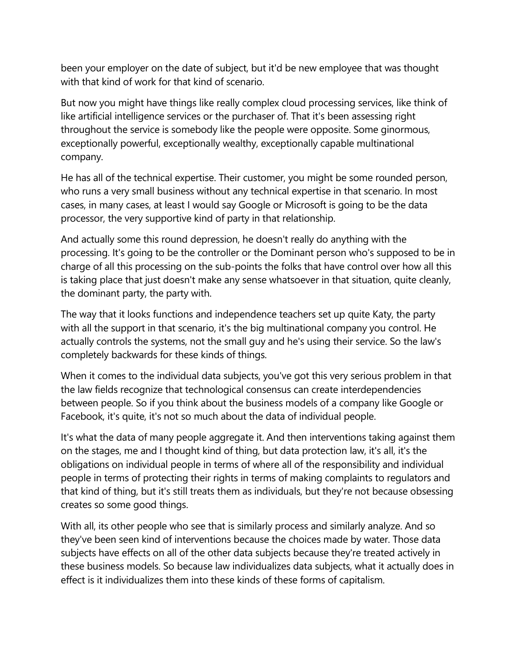been your employer on the date of subject, but it'd be new employee that was thought with that kind of work for that kind of scenario.

But now you might have things like really complex cloud processing services, like think of like artificial intelligence services or the purchaser of. That it's been assessing right throughout the service is somebody like the people were opposite. Some ginormous, exceptionally powerful, exceptionally wealthy, exceptionally capable multinational company.

He has all of the technical expertise. Their customer, you might be some rounded person, who runs a very small business without any technical expertise in that scenario. In most cases, in many cases, at least I would say Google or Microsoft is going to be the data processor, the very supportive kind of party in that relationship.

And actually some this round depression, he doesn't really do anything with the processing. It's going to be the controller or the Dominant person who's supposed to be in charge of all this processing on the sub-points the folks that have control over how all this is taking place that just doesn't make any sense whatsoever in that situation, quite cleanly, the dominant party, the party with.

The way that it looks functions and independence teachers set up quite Katy, the party with all the support in that scenario, it's the big multinational company you control. He actually controls the systems, not the small guy and he's using their service. So the law's completely backwards for these kinds of things.

When it comes to the individual data subjects, you've got this very serious problem in that the law fields recognize that technological consensus can create interdependencies between people. So if you think about the business models of a company like Google or Facebook, it's quite, it's not so much about the data of individual people.

It's what the data of many people aggregate it. And then interventions taking against them on the stages, me and I thought kind of thing, but data protection law, it's all, it's the obligations on individual people in terms of where all of the responsibility and individual people in terms of protecting their rights in terms of making complaints to regulators and that kind of thing, but it's still treats them as individuals, but they're not because obsessing creates so some good things.

With all, its other people who see that is similarly process and similarly analyze. And so they've been seen kind of interventions because the choices made by water. Those data subjects have effects on all of the other data subjects because they're treated actively in these business models. So because law individualizes data subjects, what it actually does in effect is it individualizes them into these kinds of these forms of capitalism.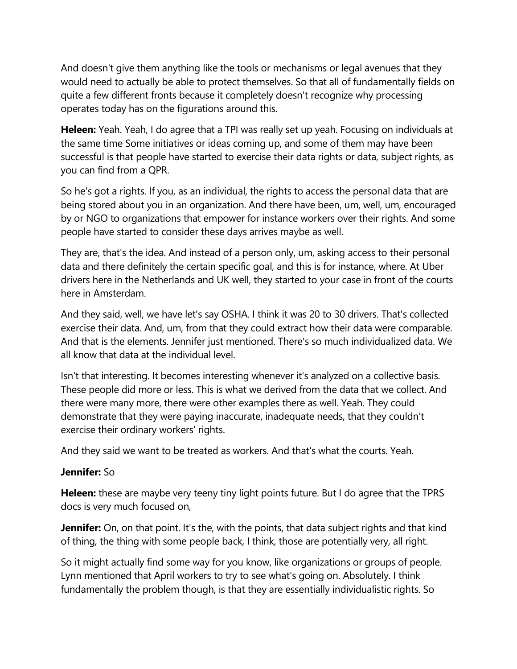And doesn't give them anything like the tools or mechanisms or legal avenues that they would need to actually be able to protect themselves. So that all of fundamentally fields on quite a few different fronts because it completely doesn't recognize why processing operates today has on the figurations around this.

**Heleen:** Yeah. Yeah, I do agree that a TPI was really set up yeah. Focusing on individuals at the same time Some initiatives or ideas coming up, and some of them may have been successful is that people have started to exercise their data rights or data, subject rights, as you can find from a QPR.

So he's got a rights. If you, as an individual, the rights to access the personal data that are being stored about you in an organization. And there have been, um, well, um, encouraged by or NGO to organizations that empower for instance workers over their rights. And some people have started to consider these days arrives maybe as well.

They are, that's the idea. And instead of a person only, um, asking access to their personal data and there definitely the certain specific goal, and this is for instance, where. At Uber drivers here in the Netherlands and UK well, they started to your case in front of the courts here in Amsterdam.

And they said, well, we have let's say OSHA. I think it was 20 to 30 drivers. That's collected exercise their data. And, um, from that they could extract how their data were comparable. And that is the elements. Jennifer just mentioned. There's so much individualized data. We all know that data at the individual level.

Isn't that interesting. It becomes interesting whenever it's analyzed on a collective basis. These people did more or less. This is what we derived from the data that we collect. And there were many more, there were other examples there as well. Yeah. They could demonstrate that they were paying inaccurate, inadequate needs, that they couldn't exercise their ordinary workers' rights.

And they said we want to be treated as workers. And that's what the courts. Yeah.

# **Jennifer:** So

**Heleen:** these are maybe very teeny tiny light points future. But I do agree that the TPRS docs is very much focused on,

**Jennifer:** On, on that point. It's the, with the points, that data subject rights and that kind of thing, the thing with some people back, I think, those are potentially very, all right.

So it might actually find some way for you know, like organizations or groups of people. Lynn mentioned that April workers to try to see what's going on. Absolutely. I think fundamentally the problem though, is that they are essentially individualistic rights. So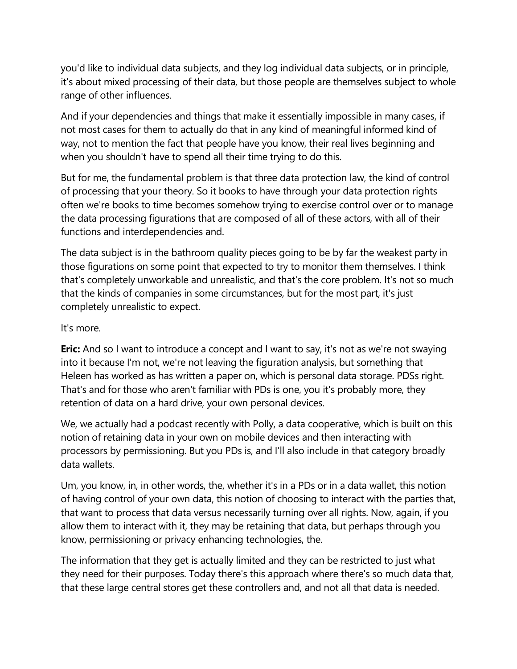you'd like to individual data subjects, and they log individual data subjects, or in principle, it's about mixed processing of their data, but those people are themselves subject to whole range of other influences.

And if your dependencies and things that make it essentially impossible in many cases, if not most cases for them to actually do that in any kind of meaningful informed kind of way, not to mention the fact that people have you know, their real lives beginning and when you shouldn't have to spend all their time trying to do this.

But for me, the fundamental problem is that three data protection law, the kind of control of processing that your theory. So it books to have through your data protection rights often we're books to time becomes somehow trying to exercise control over or to manage the data processing figurations that are composed of all of these actors, with all of their functions and interdependencies and.

The data subject is in the bathroom quality pieces going to be by far the weakest party in those figurations on some point that expected to try to monitor them themselves. I think that's completely unworkable and unrealistic, and that's the core problem. It's not so much that the kinds of companies in some circumstances, but for the most part, it's just completely unrealistic to expect.

## It's more.

**Eric:** And so I want to introduce a concept and I want to say, it's not as we're not swaying into it because I'm not, we're not leaving the figuration analysis, but something that Heleen has worked as has written a paper on, which is personal data storage. PDSs right. That's and for those who aren't familiar with PDs is one, you it's probably more, they retention of data on a hard drive, your own personal devices.

We, we actually had a podcast recently with Polly, a data cooperative, which is built on this notion of retaining data in your own on mobile devices and then interacting with processors by permissioning. But you PDs is, and I'll also include in that category broadly data wallets.

Um, you know, in, in other words, the, whether it's in a PDs or in a data wallet, this notion of having control of your own data, this notion of choosing to interact with the parties that, that want to process that data versus necessarily turning over all rights. Now, again, if you allow them to interact with it, they may be retaining that data, but perhaps through you know, permissioning or privacy enhancing technologies, the.

The information that they get is actually limited and they can be restricted to just what they need for their purposes. Today there's this approach where there's so much data that, that these large central stores get these controllers and, and not all that data is needed.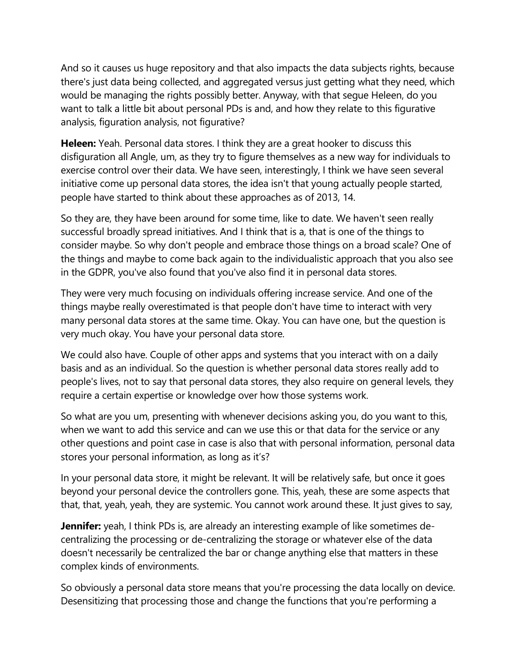And so it causes us huge repository and that also impacts the data subjects rights, because there's just data being collected, and aggregated versus just getting what they need, which would be managing the rights possibly better. Anyway, with that segue Heleen, do you want to talk a little bit about personal PDs is and, and how they relate to this figurative analysis, figuration analysis, not figurative?

**Heleen:** Yeah. Personal data stores. I think they are a great hooker to discuss this disfiguration all Angle, um, as they try to figure themselves as a new way for individuals to exercise control over their data. We have seen, interestingly, I think we have seen several initiative come up personal data stores, the idea isn't that young actually people started, people have started to think about these approaches as of 2013, 14.

So they are, they have been around for some time, like to date. We haven't seen really successful broadly spread initiatives. And I think that is a, that is one of the things to consider maybe. So why don't people and embrace those things on a broad scale? One of the things and maybe to come back again to the individualistic approach that you also see in the GDPR, you've also found that you've also find it in personal data stores.

They were very much focusing on individuals offering increase service. And one of the things maybe really overestimated is that people don't have time to interact with very many personal data stores at the same time. Okay. You can have one, but the question is very much okay. You have your personal data store.

We could also have. Couple of other apps and systems that you interact with on a daily basis and as an individual. So the question is whether personal data stores really add to people's lives, not to say that personal data stores, they also require on general levels, they require a certain expertise or knowledge over how those systems work.

So what are you um, presenting with whenever decisions asking you, do you want to this, when we want to add this service and can we use this or that data for the service or any other questions and point case in case is also that with personal information, personal data stores your personal information, as long as it's?

In your personal data store, it might be relevant. It will be relatively safe, but once it goes beyond your personal device the controllers gone. This, yeah, these are some aspects that that, that, yeah, yeah, they are systemic. You cannot work around these. It just gives to say,

**Jennifer:** yeah, I think PDs is, are already an interesting example of like sometimes decentralizing the processing or de-centralizing the storage or whatever else of the data doesn't necessarily be centralized the bar or change anything else that matters in these complex kinds of environments.

So obviously a personal data store means that you're processing the data locally on device. Desensitizing that processing those and change the functions that you're performing a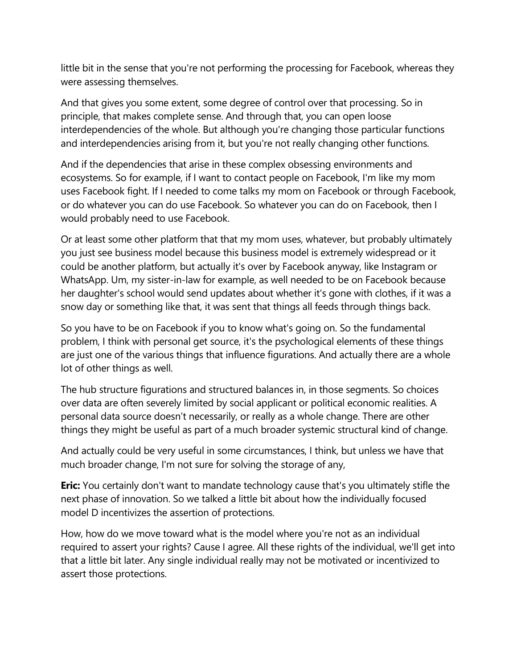little bit in the sense that you're not performing the processing for Facebook, whereas they were assessing themselves.

And that gives you some extent, some degree of control over that processing. So in principle, that makes complete sense. And through that, you can open loose interdependencies of the whole. But although you're changing those particular functions and interdependencies arising from it, but you're not really changing other functions.

And if the dependencies that arise in these complex obsessing environments and ecosystems. So for example, if I want to contact people on Facebook, I'm like my mom uses Facebook fight. If I needed to come talks my mom on Facebook or through Facebook, or do whatever you can do use Facebook. So whatever you can do on Facebook, then I would probably need to use Facebook.

Or at least some other platform that that my mom uses, whatever, but probably ultimately you just see business model because this business model is extremely widespread or it could be another platform, but actually it's over by Facebook anyway, like Instagram or WhatsApp. Um, my sister-in-law for example, as well needed to be on Facebook because her daughter's school would send updates about whether it's gone with clothes, if it was a snow day or something like that, it was sent that things all feeds through things back.

So you have to be on Facebook if you to know what's going on. So the fundamental problem, I think with personal get source, it's the psychological elements of these things are just one of the various things that influence figurations. And actually there are a whole lot of other things as well.

The hub structure figurations and structured balances in, in those segments. So choices over data are often severely limited by social applicant or political economic realities. A personal data source doesn't necessarily, or really as a whole change. There are other things they might be useful as part of a much broader systemic structural kind of change.

And actually could be very useful in some circumstances, I think, but unless we have that much broader change, I'm not sure for solving the storage of any,

**Eric:** You certainly don't want to mandate technology cause that's you ultimately stifle the next phase of innovation. So we talked a little bit about how the individually focused model D incentivizes the assertion of protections.

How, how do we move toward what is the model where you're not as an individual required to assert your rights? Cause I agree. All these rights of the individual, we'll get into that a little bit later. Any single individual really may not be motivated or incentivized to assert those protections.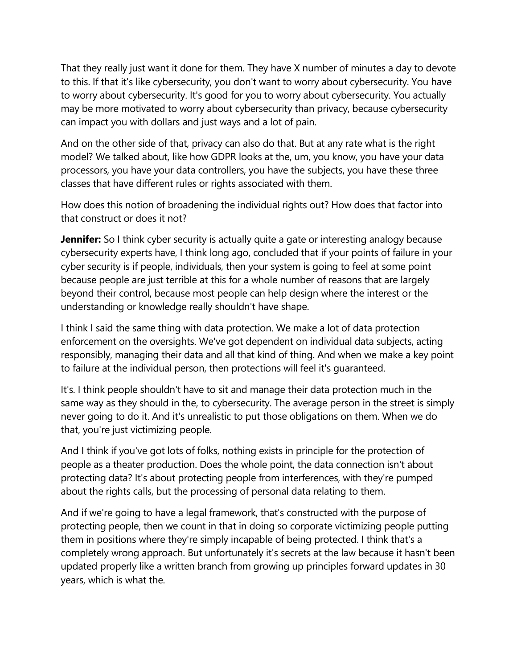That they really just want it done for them. They have X number of minutes a day to devote to this. If that it's like cybersecurity, you don't want to worry about cybersecurity. You have to worry about cybersecurity. It's good for you to worry about cybersecurity. You actually may be more motivated to worry about cybersecurity than privacy, because cybersecurity can impact you with dollars and just ways and a lot of pain.

And on the other side of that, privacy can also do that. But at any rate what is the right model? We talked about, like how GDPR looks at the, um, you know, you have your data processors, you have your data controllers, you have the subjects, you have these three classes that have different rules or rights associated with them.

How does this notion of broadening the individual rights out? How does that factor into that construct or does it not?

**Jennifer:** So I think cyber security is actually quite a gate or interesting analogy because cybersecurity experts have, I think long ago, concluded that if your points of failure in your cyber security is if people, individuals, then your system is going to feel at some point because people are just terrible at this for a whole number of reasons that are largely beyond their control, because most people can help design where the interest or the understanding or knowledge really shouldn't have shape.

I think I said the same thing with data protection. We make a lot of data protection enforcement on the oversights. We've got dependent on individual data subjects, acting responsibly, managing their data and all that kind of thing. And when we make a key point to failure at the individual person, then protections will feel it's guaranteed.

It's. I think people shouldn't have to sit and manage their data protection much in the same way as they should in the, to cybersecurity. The average person in the street is simply never going to do it. And it's unrealistic to put those obligations on them. When we do that, you're just victimizing people.

And I think if you've got lots of folks, nothing exists in principle for the protection of people as a theater production. Does the whole point, the data connection isn't about protecting data? It's about protecting people from interferences, with they're pumped about the rights calls, but the processing of personal data relating to them.

And if we're going to have a legal framework, that's constructed with the purpose of protecting people, then we count in that in doing so corporate victimizing people putting them in positions where they're simply incapable of being protected. I think that's a completely wrong approach. But unfortunately it's secrets at the law because it hasn't been updated properly like a written branch from growing up principles forward updates in 30 years, which is what the.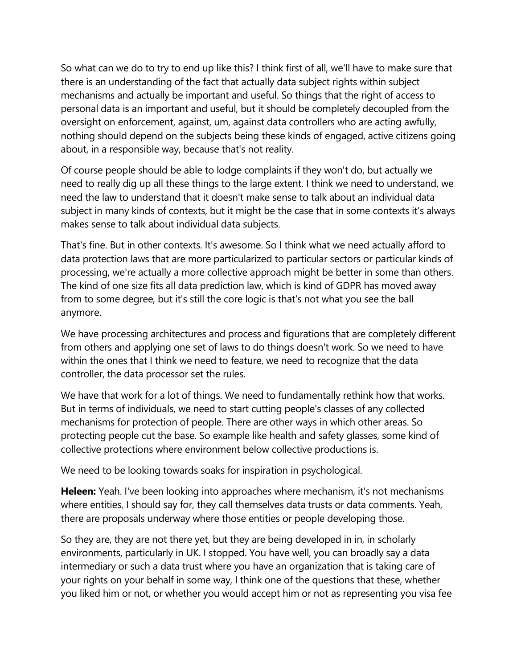So what can we do to try to end up like this? I think first of all, we'll have to make sure that there is an understanding of the fact that actually data subject rights within subject mechanisms and actually be important and useful. So things that the right of access to personal data is an important and useful, but it should be completely decoupled from the oversight on enforcement, against, um, against data controllers who are acting awfully, nothing should depend on the subjects being these kinds of engaged, active citizens going about, in a responsible way, because that's not reality.

Of course people should be able to lodge complaints if they won't do, but actually we need to really dig up all these things to the large extent. I think we need to understand, we need the law to understand that it doesn't make sense to talk about an individual data subject in many kinds of contexts, but it might be the case that in some contexts it's always makes sense to talk about individual data subjects.

That's fine. But in other contexts. It's awesome. So I think what we need actually afford to data protection laws that are more particularized to particular sectors or particular kinds of processing, we're actually a more collective approach might be better in some than others. The kind of one size fits all data prediction law, which is kind of GDPR has moved away from to some degree, but it's still the core logic is that's not what you see the ball anymore.

We have processing architectures and process and figurations that are completely different from others and applying one set of laws to do things doesn't work. So we need to have within the ones that I think we need to feature, we need to recognize that the data controller, the data processor set the rules.

We have that work for a lot of things. We need to fundamentally rethink how that works. But in terms of individuals, we need to start cutting people's classes of any collected mechanisms for protection of people. There are other ways in which other areas. So protecting people cut the base. So example like health and safety glasses, some kind of collective protections where environment below collective productions is.

We need to be looking towards soaks for inspiration in psychological.

**Heleen:** Yeah. I've been looking into approaches where mechanism, it's not mechanisms where entities, I should say for, they call themselves data trusts or data comments. Yeah, there are proposals underway where those entities or people developing those.

So they are, they are not there yet, but they are being developed in in, in scholarly environments, particularly in UK. I stopped. You have well, you can broadly say a data intermediary or such a data trust where you have an organization that is taking care of your rights on your behalf in some way, I think one of the questions that these, whether you liked him or not, or whether you would accept him or not as representing you visa fee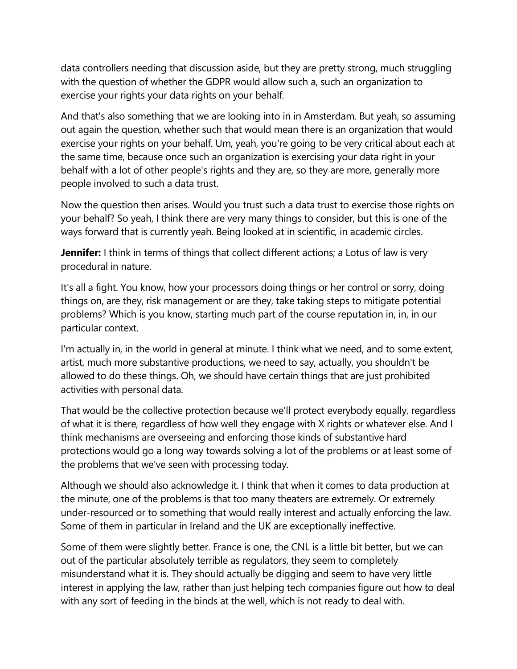data controllers needing that discussion aside, but they are pretty strong, much struggling with the question of whether the GDPR would allow such a, such an organization to exercise your rights your data rights on your behalf.

And that's also something that we are looking into in in Amsterdam. But yeah, so assuming out again the question, whether such that would mean there is an organization that would exercise your rights on your behalf. Um, yeah, you're going to be very critical about each at the same time, because once such an organization is exercising your data right in your behalf with a lot of other people's rights and they are, so they are more, generally more people involved to such a data trust.

Now the question then arises. Would you trust such a data trust to exercise those rights on your behalf? So yeah, I think there are very many things to consider, but this is one of the ways forward that is currently yeah. Being looked at in scientific, in academic circles.

**Jennifer:** I think in terms of things that collect different actions; a Lotus of law is very procedural in nature.

It's all a fight. You know, how your processors doing things or her control or sorry, doing things on, are they, risk management or are they, take taking steps to mitigate potential problems? Which is you know, starting much part of the course reputation in, in, in our particular context.

I'm actually in, in the world in general at minute. I think what we need, and to some extent, artist, much more substantive productions, we need to say, actually, you shouldn't be allowed to do these things. Oh, we should have certain things that are just prohibited activities with personal data.

That would be the collective protection because we'll protect everybody equally, regardless of what it is there, regardless of how well they engage with X rights or whatever else. And I think mechanisms are overseeing and enforcing those kinds of substantive hard protections would go a long way towards solving a lot of the problems or at least some of the problems that we've seen with processing today.

Although we should also acknowledge it. I think that when it comes to data production at the minute, one of the problems is that too many theaters are extremely. Or extremely under-resourced or to something that would really interest and actually enforcing the law. Some of them in particular in Ireland and the UK are exceptionally ineffective.

Some of them were slightly better. France is one, the CNL is a little bit better, but we can out of the particular absolutely terrible as regulators, they seem to completely misunderstand what it is. They should actually be digging and seem to have very little interest in applying the law, rather than just helping tech companies figure out how to deal with any sort of feeding in the binds at the well, which is not ready to deal with.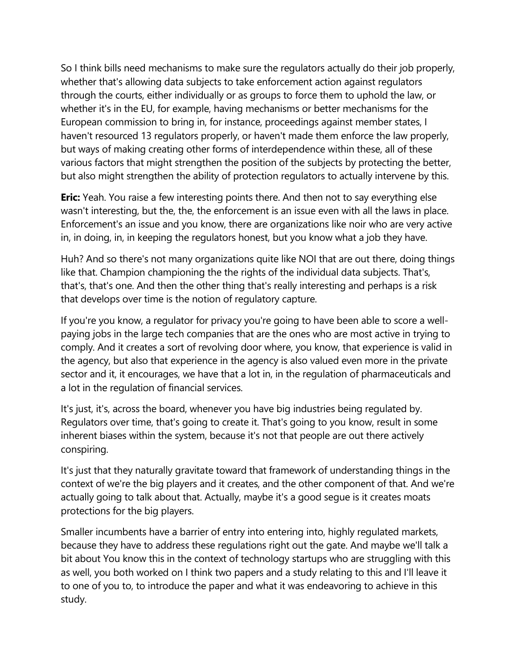So I think bills need mechanisms to make sure the regulators actually do their job properly, whether that's allowing data subjects to take enforcement action against regulators through the courts, either individually or as groups to force them to uphold the law, or whether it's in the EU, for example, having mechanisms or better mechanisms for the European commission to bring in, for instance, proceedings against member states, I haven't resourced 13 regulators properly, or haven't made them enforce the law properly, but ways of making creating other forms of interdependence within these, all of these various factors that might strengthen the position of the subjects by protecting the better, but also might strengthen the ability of protection regulators to actually intervene by this.

**Eric:** Yeah. You raise a few interesting points there. And then not to say everything else wasn't interesting, but the, the, the enforcement is an issue even with all the laws in place. Enforcement's an issue and you know, there are organizations like noir who are very active in, in doing, in, in keeping the regulators honest, but you know what a job they have.

Huh? And so there's not many organizations quite like NOI that are out there, doing things like that. Champion championing the the rights of the individual data subjects. That's, that's, that's one. And then the other thing that's really interesting and perhaps is a risk that develops over time is the notion of regulatory capture.

If you're you know, a regulator for privacy you're going to have been able to score a wellpaying jobs in the large tech companies that are the ones who are most active in trying to comply. And it creates a sort of revolving door where, you know, that experience is valid in the agency, but also that experience in the agency is also valued even more in the private sector and it, it encourages, we have that a lot in, in the regulation of pharmaceuticals and a lot in the regulation of financial services.

It's just, it's, across the board, whenever you have big industries being regulated by. Regulators over time, that's going to create it. That's going to you know, result in some inherent biases within the system, because it's not that people are out there actively conspiring.

It's just that they naturally gravitate toward that framework of understanding things in the context of we're the big players and it creates, and the other component of that. And we're actually going to talk about that. Actually, maybe it's a good segue is it creates moats protections for the big players.

Smaller incumbents have a barrier of entry into entering into, highly regulated markets, because they have to address these regulations right out the gate. And maybe we'll talk a bit about You know this in the context of technology startups who are struggling with this as well, you both worked on I think two papers and a study relating to this and I'll leave it to one of you to, to introduce the paper and what it was endeavoring to achieve in this study.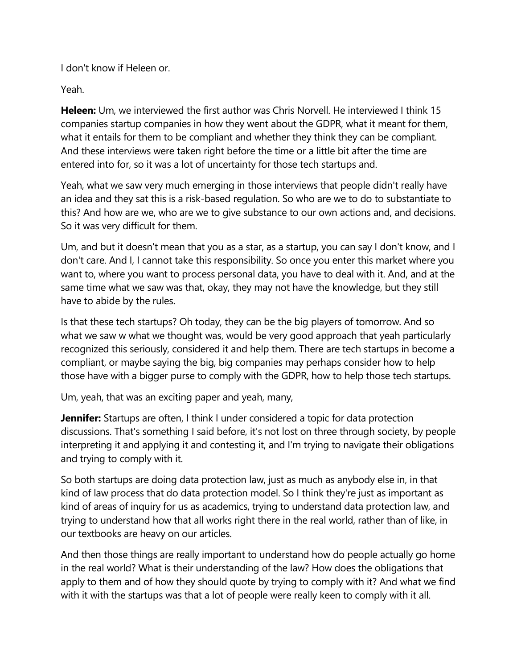I don't know if Heleen or.

Yeah.

**Heleen:** Um, we interviewed the first author was Chris Norvell. He interviewed I think 15 companies startup companies in how they went about the GDPR, what it meant for them, what it entails for them to be compliant and whether they think they can be compliant. And these interviews were taken right before the time or a little bit after the time are entered into for, so it was a lot of uncertainty for those tech startups and.

Yeah, what we saw very much emerging in those interviews that people didn't really have an idea and they sat this is a risk-based regulation. So who are we to do to substantiate to this? And how are we, who are we to give substance to our own actions and, and decisions. So it was very difficult for them.

Um, and but it doesn't mean that you as a star, as a startup, you can say I don't know, and I don't care. And I, I cannot take this responsibility. So once you enter this market where you want to, where you want to process personal data, you have to deal with it. And, and at the same time what we saw was that, okay, they may not have the knowledge, but they still have to abide by the rules.

Is that these tech startups? Oh today, they can be the big players of tomorrow. And so what we saw w what we thought was, would be very good approach that yeah particularly recognized this seriously, considered it and help them. There are tech startups in become a compliant, or maybe saying the big, big companies may perhaps consider how to help those have with a bigger purse to comply with the GDPR, how to help those tech startups.

Um, yeah, that was an exciting paper and yeah, many,

**Jennifer:** Startups are often, I think I under considered a topic for data protection discussions. That's something I said before, it's not lost on three through society, by people interpreting it and applying it and contesting it, and I'm trying to navigate their obligations and trying to comply with it.

So both startups are doing data protection law, just as much as anybody else in, in that kind of law process that do data protection model. So I think they're just as important as kind of areas of inquiry for us as academics, trying to understand data protection law, and trying to understand how that all works right there in the real world, rather than of like, in our textbooks are heavy on our articles.

And then those things are really important to understand how do people actually go home in the real world? What is their understanding of the law? How does the obligations that apply to them and of how they should quote by trying to comply with it? And what we find with it with the startups was that a lot of people were really keen to comply with it all.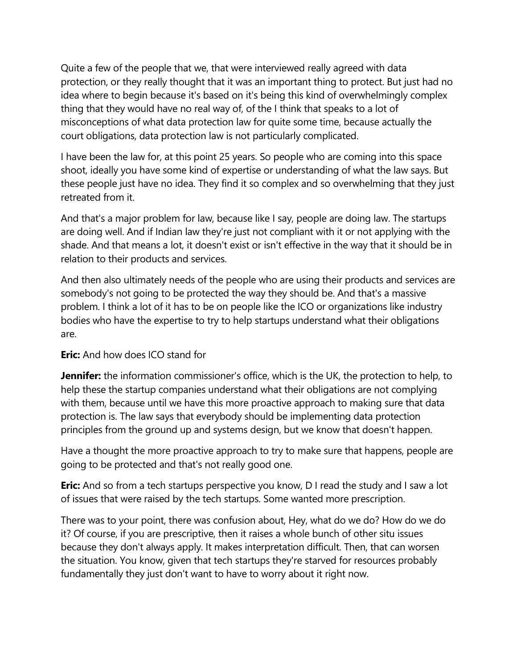Quite a few of the people that we, that were interviewed really agreed with data protection, or they really thought that it was an important thing to protect. But just had no idea where to begin because it's based on it's being this kind of overwhelmingly complex thing that they would have no real way of, of the I think that speaks to a lot of misconceptions of what data protection law for quite some time, because actually the court obligations, data protection law is not particularly complicated.

I have been the law for, at this point 25 years. So people who are coming into this space shoot, ideally you have some kind of expertise or understanding of what the law says. But these people just have no idea. They find it so complex and so overwhelming that they just retreated from it.

And that's a major problem for law, because like I say, people are doing law. The startups are doing well. And if Indian law they're just not compliant with it or not applying with the shade. And that means a lot, it doesn't exist or isn't effective in the way that it should be in relation to their products and services.

And then also ultimately needs of the people who are using their products and services are somebody's not going to be protected the way they should be. And that's a massive problem. I think a lot of it has to be on people like the ICO or organizations like industry bodies who have the expertise to try to help startups understand what their obligations are.

# **Eric:** And how does ICO stand for

**Jennifer:** the information commissioner's office, which is the UK, the protection to help, to help these the startup companies understand what their obligations are not complying with them, because until we have this more proactive approach to making sure that data protection is. The law says that everybody should be implementing data protection principles from the ground up and systems design, but we know that doesn't happen.

Have a thought the more proactive approach to try to make sure that happens, people are going to be protected and that's not really good one.

**Eric:** And so from a tech startups perspective you know, D I read the study and I saw a lot of issues that were raised by the tech startups. Some wanted more prescription.

There was to your point, there was confusion about, Hey, what do we do? How do we do it? Of course, if you are prescriptive, then it raises a whole bunch of other situ issues because they don't always apply. It makes interpretation difficult. Then, that can worsen the situation. You know, given that tech startups they're starved for resources probably fundamentally they just don't want to have to worry about it right now.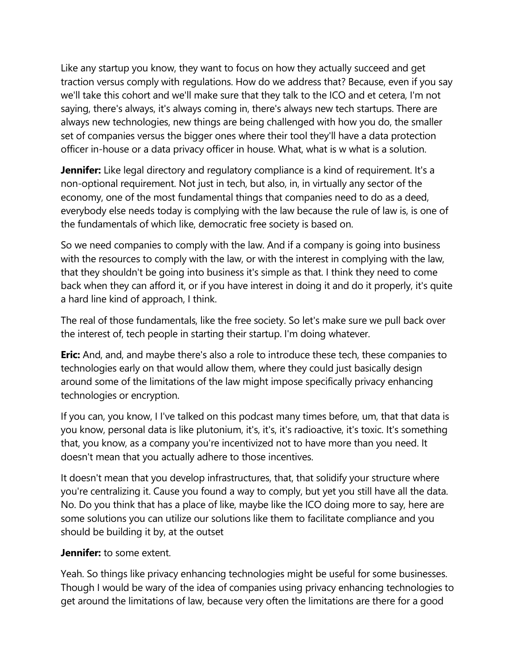Like any startup you know, they want to focus on how they actually succeed and get traction versus comply with regulations. How do we address that? Because, even if you say we'll take this cohort and we'll make sure that they talk to the ICO and et cetera, I'm not saying, there's always, it's always coming in, there's always new tech startups. There are always new technologies, new things are being challenged with how you do, the smaller set of companies versus the bigger ones where their tool they'll have a data protection officer in-house or a data privacy officer in house. What, what is w what is a solution.

**Jennifer:** Like legal directory and regulatory compliance is a kind of requirement. It's a non-optional requirement. Not just in tech, but also, in, in virtually any sector of the economy, one of the most fundamental things that companies need to do as a deed, everybody else needs today is complying with the law because the rule of law is, is one of the fundamentals of which like, democratic free society is based on.

So we need companies to comply with the law. And if a company is going into business with the resources to comply with the law, or with the interest in complying with the law, that they shouldn't be going into business it's simple as that. I think they need to come back when they can afford it, or if you have interest in doing it and do it properly, it's quite a hard line kind of approach, I think.

The real of those fundamentals, like the free society. So let's make sure we pull back over the interest of, tech people in starting their startup. I'm doing whatever.

**Eric:** And, and, and maybe there's also a role to introduce these tech, these companies to technologies early on that would allow them, where they could just basically design around some of the limitations of the law might impose specifically privacy enhancing technologies or encryption.

If you can, you know, I I've talked on this podcast many times before, um, that that data is you know, personal data is like plutonium, it's, it's, it's radioactive, it's toxic. It's something that, you know, as a company you're incentivized not to have more than you need. It doesn't mean that you actually adhere to those incentives.

It doesn't mean that you develop infrastructures, that, that solidify your structure where you're centralizing it. Cause you found a way to comply, but yet you still have all the data. No. Do you think that has a place of like, maybe like the ICO doing more to say, here are some solutions you can utilize our solutions like them to facilitate compliance and you should be building it by, at the outset

### **Jennifer:** to some extent.

Yeah. So things like privacy enhancing technologies might be useful for some businesses. Though I would be wary of the idea of companies using privacy enhancing technologies to get around the limitations of law, because very often the limitations are there for a good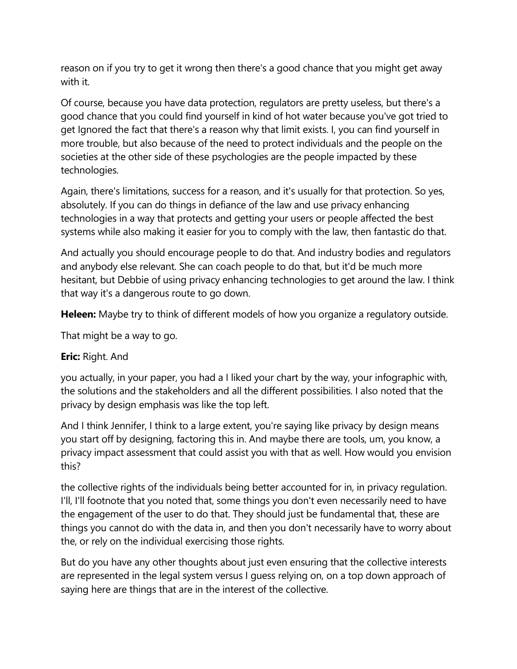reason on if you try to get it wrong then there's a good chance that you might get away with it.

Of course, because you have data protection, regulators are pretty useless, but there's a good chance that you could find yourself in kind of hot water because you've got tried to get Ignored the fact that there's a reason why that limit exists. I, you can find yourself in more trouble, but also because of the need to protect individuals and the people on the societies at the other side of these psychologies are the people impacted by these technologies.

Again, there's limitations, success for a reason, and it's usually for that protection. So yes, absolutely. If you can do things in defiance of the law and use privacy enhancing technologies in a way that protects and getting your users or people affected the best systems while also making it easier for you to comply with the law, then fantastic do that.

And actually you should encourage people to do that. And industry bodies and regulators and anybody else relevant. She can coach people to do that, but it'd be much more hesitant, but Debbie of using privacy enhancing technologies to get around the law. I think that way it's a dangerous route to go down.

**Heleen:** Maybe try to think of different models of how you organize a regulatory outside.

That might be a way to go.

### **Eric:** Right. And

you actually, in your paper, you had a I liked your chart by the way, your infographic with, the solutions and the stakeholders and all the different possibilities. I also noted that the privacy by design emphasis was like the top left.

And I think Jennifer, I think to a large extent, you're saying like privacy by design means you start off by designing, factoring this in. And maybe there are tools, um, you know, a privacy impact assessment that could assist you with that as well. How would you envision this?

the collective rights of the individuals being better accounted for in, in privacy regulation. I'll, I'll footnote that you noted that, some things you don't even necessarily need to have the engagement of the user to do that. They should just be fundamental that, these are things you cannot do with the data in, and then you don't necessarily have to worry about the, or rely on the individual exercising those rights.

But do you have any other thoughts about just even ensuring that the collective interests are represented in the legal system versus I guess relying on, on a top down approach of saying here are things that are in the interest of the collective.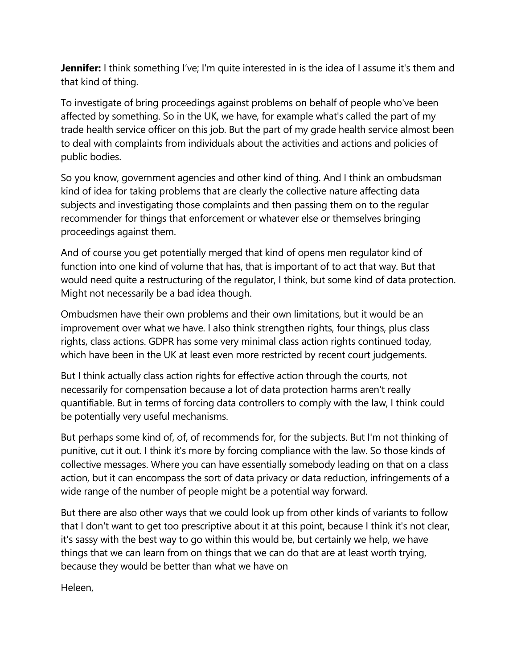**Jennifer:** I think something I've; I'm quite interested in is the idea of I assume it's them and that kind of thing.

To investigate of bring proceedings against problems on behalf of people who've been affected by something. So in the UK, we have, for example what's called the part of my trade health service officer on this job. But the part of my grade health service almost been to deal with complaints from individuals about the activities and actions and policies of public bodies.

So you know, government agencies and other kind of thing. And I think an ombudsman kind of idea for taking problems that are clearly the collective nature affecting data subjects and investigating those complaints and then passing them on to the regular recommender for things that enforcement or whatever else or themselves bringing proceedings against them.

And of course you get potentially merged that kind of opens men regulator kind of function into one kind of volume that has, that is important of to act that way. But that would need quite a restructuring of the regulator, I think, but some kind of data protection. Might not necessarily be a bad idea though.

Ombudsmen have their own problems and their own limitations, but it would be an improvement over what we have. I also think strengthen rights, four things, plus class rights, class actions. GDPR has some very minimal class action rights continued today, which have been in the UK at least even more restricted by recent court judgements.

But I think actually class action rights for effective action through the courts, not necessarily for compensation because a lot of data protection harms aren't really quantifiable. But in terms of forcing data controllers to comply with the law, I think could be potentially very useful mechanisms.

But perhaps some kind of, of, of recommends for, for the subjects. But I'm not thinking of punitive, cut it out. I think it's more by forcing compliance with the law. So those kinds of collective messages. Where you can have essentially somebody leading on that on a class action, but it can encompass the sort of data privacy or data reduction, infringements of a wide range of the number of people might be a potential way forward.

But there are also other ways that we could look up from other kinds of variants to follow that I don't want to get too prescriptive about it at this point, because I think it's not clear, it's sassy with the best way to go within this would be, but certainly we help, we have things that we can learn from on things that we can do that are at least worth trying, because they would be better than what we have on

Heleen,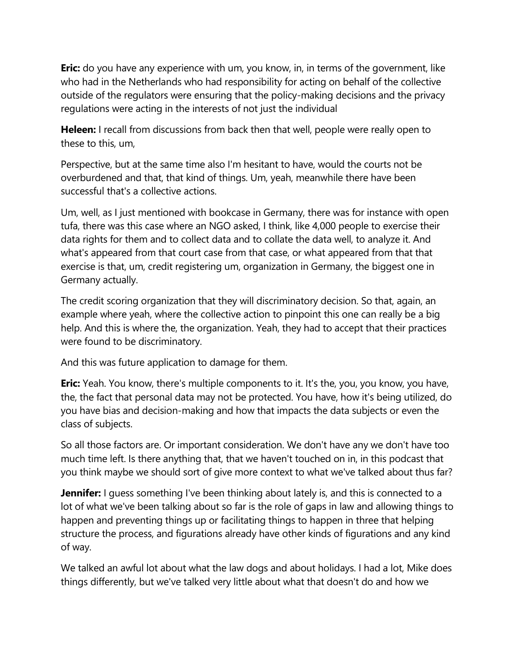**Eric:** do you have any experience with um, you know, in, in terms of the government, like who had in the Netherlands who had responsibility for acting on behalf of the collective outside of the regulators were ensuring that the policy-making decisions and the privacy regulations were acting in the interests of not just the individual

**Heleen:** I recall from discussions from back then that well, people were really open to these to this, um,

Perspective, but at the same time also I'm hesitant to have, would the courts not be overburdened and that, that kind of things. Um, yeah, meanwhile there have been successful that's a collective actions.

Um, well, as I just mentioned with bookcase in Germany, there was for instance with open tufa, there was this case where an NGO asked, I think, like 4,000 people to exercise their data rights for them and to collect data and to collate the data well, to analyze it. And what's appeared from that court case from that case, or what appeared from that that exercise is that, um, credit registering um, organization in Germany, the biggest one in Germany actually.

The credit scoring organization that they will discriminatory decision. So that, again, an example where yeah, where the collective action to pinpoint this one can really be a big help. And this is where the, the organization. Yeah, they had to accept that their practices were found to be discriminatory.

And this was future application to damage for them.

**Eric:** Yeah. You know, there's multiple components to it. It's the, you, you know, you have, the, the fact that personal data may not be protected. You have, how it's being utilized, do you have bias and decision-making and how that impacts the data subjects or even the class of subjects.

So all those factors are. Or important consideration. We don't have any we don't have too much time left. Is there anything that, that we haven't touched on in, in this podcast that you think maybe we should sort of give more context to what we've talked about thus far?

**Jennifer:** I guess something I've been thinking about lately is, and this is connected to a lot of what we've been talking about so far is the role of gaps in law and allowing things to happen and preventing things up or facilitating things to happen in three that helping structure the process, and figurations already have other kinds of figurations and any kind of way.

We talked an awful lot about what the law dogs and about holidays. I had a lot, Mike does things differently, but we've talked very little about what that doesn't do and how we